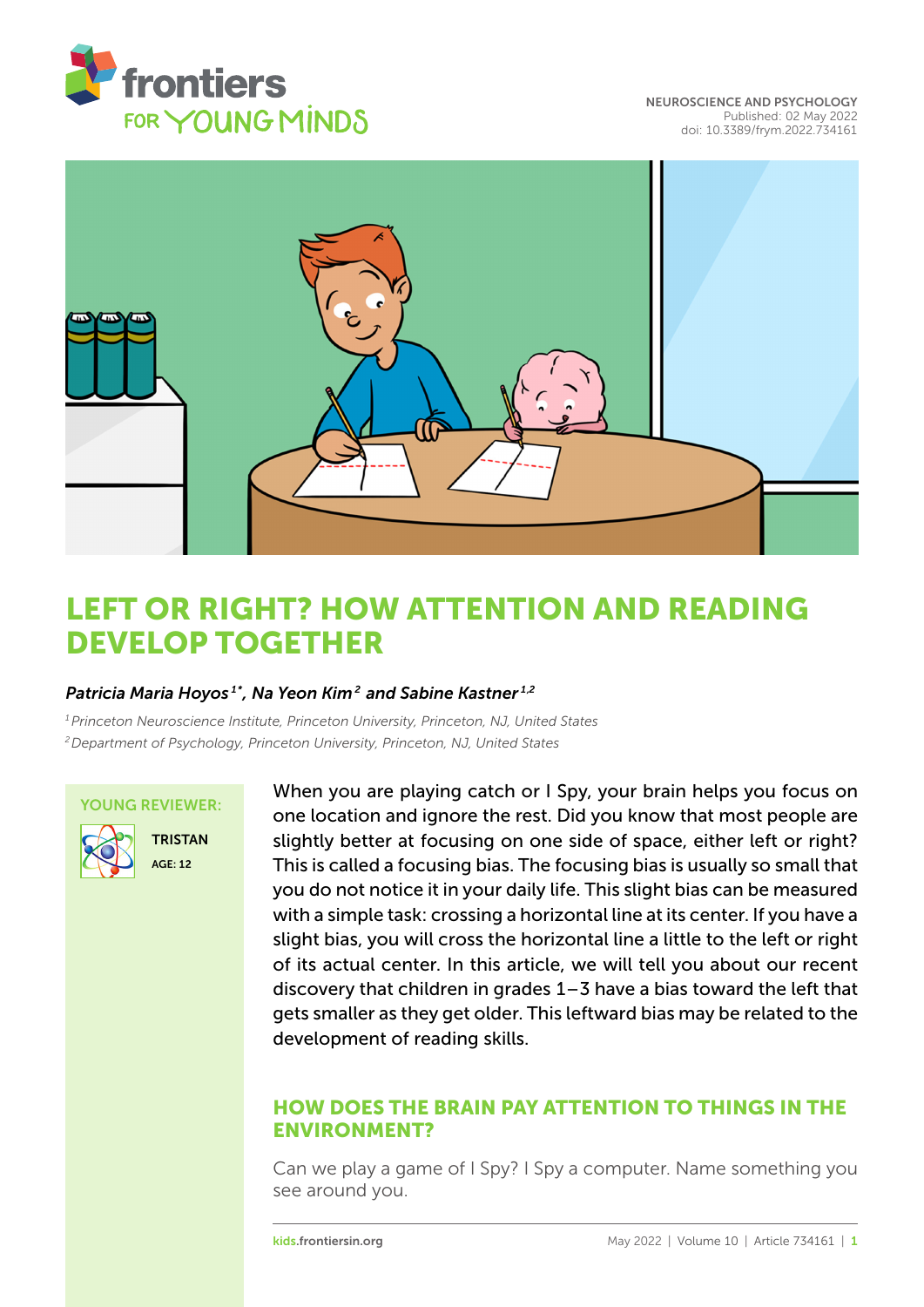

[NEUROSCIENCE AND PSYCHOLOGY](https://kids.frontiersin.org/article/10.3389/frym.2022.734161) [Published: 02 May 2022](https://kids.frontiersin.org/article/10.3389/frym.2022.734161) [doi: 10.3389/frym.2022.734161](https://doi.org/10.3389/frym.2022.734161)



# [LEFT OR RIGHT? HOW ATTENTION AND READING](https://kids.frontiersin.org/article/10.3389/frym.2022.734161) DEVELOP TOGETHER

# *Patricia Maria Hoyos 1\*, Na Yeon Kim <sup>2</sup> and Sabine Kastner 1,2*

*<sup>1</sup>Princeton Neuroscience Institute, Princeton University, Princeton, NJ, United States <sup>2</sup>Department of Psychology, Princeton University, Princeton, NJ, United States*

#### YOUNG REVIEWER:



**TRISTAN** AGE: 12

When you are playing catch or I Spy, your brain helps you focus on one location and ignore the rest. Did you know that most people are slightly better at focusing on one side of space, either left or right? This is called a focusing bias. The focusing bias is usually so small that you do not notice it in your daily life. This slight bias can be measured with a simple task: crossing a horizontal line at its center. If you have a slight bias, you will cross the horizontal line a little to the left or right of its actual center. In this article, we will tell you about our recent discovery that children in grades 1–3 have a bias toward the left that gets smaller as they get older. This leftward bias may be related to the development of reading skills.

# HOW DOES THE BRAIN PAY ATTENTION TO THINGS IN THE ENVIRONMENT?

Can we play a game of I Spy? I Spy a computer. Name something you see around you.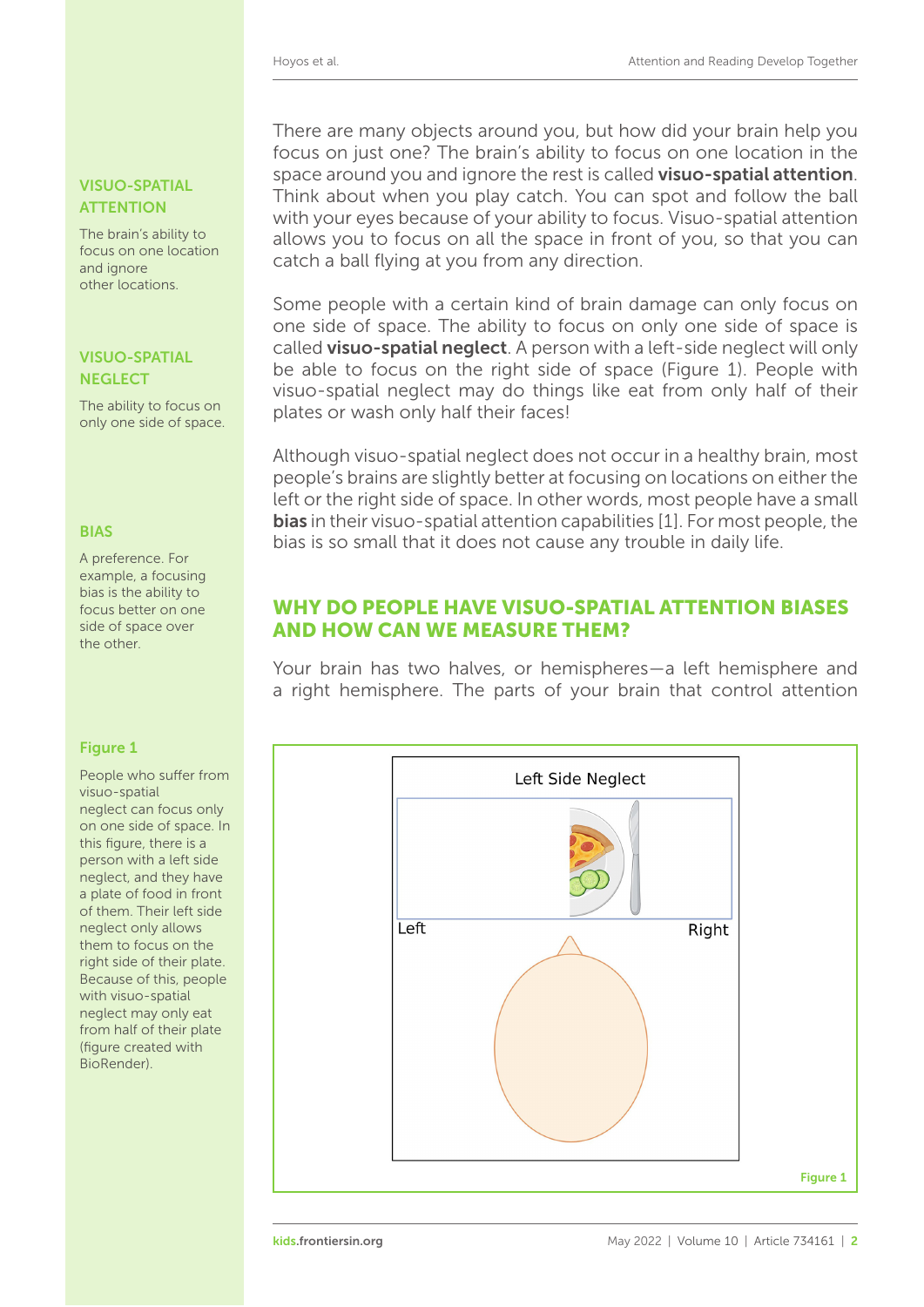# VISUO-SPATIAL **ATTENTION**

The brain's ability to focus on one location and ignore other locations.

# **NEGLECT**

The ability to focus on only one side of space.

A preference. For example, a focusing bias is the ability to focus better on one side of space over the other.

# <span id="page-1-0"></span>Figure 1

People who suffer from visuo-spatial neglect can focus only on one side of space. In this figure, there is a person with a left side neglect, and they have a plate of food in front of them. Their left side neglect only allows them to focus on the right side of their plate. Because of this, people with visuo-spatial neglect may only eat from half of their plate (figure created with BioRender).

There are many objects around you, but how did your brain help you focus on just one? The brain's ability to focus on one location in the space around you and ignore the rest is called **visuo-spatial attention**. Think about when you play catch. You can spot and follow the ball with your eyes because of your ability to focus. Visuo-spatial attention allows you to focus on all the space in front of you, so that you can catch a ball flying at you from any direction.

Some people with a certain kind of brain damage can only focus on one side of space. The ability to focus on only one side of space is called visuo-spatial neglect. A person with a left-side neglect will only VISUO-SPATIAL be able to focus on the right side of space [\(Figure 1\)](#page-1-0). People with visuo-spatial neglect may do things like eat from only half of their plates or wash only half their faces!

Although visuo-spatial neglect does not occur in a healthy brain, most people's brains are slightly better at focusing on locations on either the left or the right side of space. In other words, most people have a small **bias** in their visuo-spatial attention capabilities [\[1\]](#page-5-0). For most people, the BIAS bias is so small that it does not cause any trouble in daily life.

# WHY DO PEOPLE HAVE VISUO-SPATIAL ATTENTION BIASES AND HOW CAN WE MEASURE THEM?

Your brain has two halves, or hemispheres—a left hemisphere and a right hemisphere. The parts of your brain that control attention

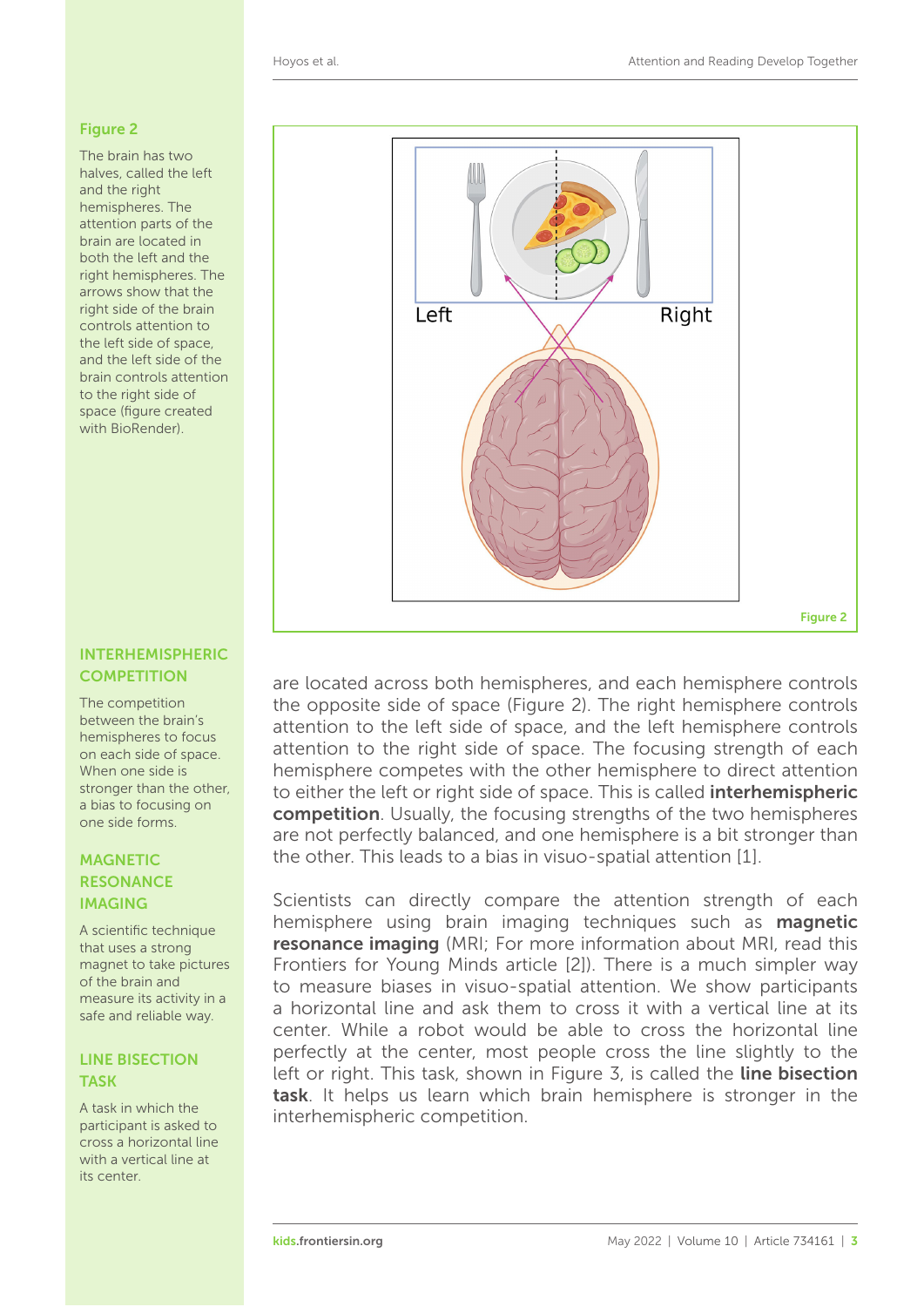#### <span id="page-2-0"></span>Figure 2

The brain has two halves, called the left and the right hemispheres. The attention parts of the brain are located in both the left and the right hemispheres. The arrows show that the right side of the brain controls attention to the left side of space, and the left side of the brain controls attention to the right side of space (figure created with BioRender).

#### INTERHEMISPHERIC **COMPETITION**

The competition between the brain's hemispheres to focus on each side of space. When one side is stronger than the other, a bias to focusing on one side forms.

### **MAGNETIC RESONANCE** IMAGING

A scientific technique that uses a strong magnet to take pictures of the brain and measure its activity in a safe and reliable way.

# LINE BISECTION TASK

A task in which the participant is asked to cross a horizontal line with a vertical line at its center.



are located across both hemispheres, and each hemisphere controls the opposite side of space [\(Figure 2\)](#page-2-0). The right hemisphere controls attention to the left side of space, and the left hemisphere controls attention to the right side of space. The focusing strength of each hemisphere competes with the other hemisphere to direct attention to either the left or right side of space. This is called **interhemispheric** competition. Usually, the focusing strengths of the two hemispheres are not perfectly balanced, and one hemisphere is a bit stronger than the other. This leads to a bias in visuo-spatial attention [\[1\]](#page-5-0).

Scientists can directly compare the attention strength of each hemisphere using brain imaging techniques such as **magnetic** resonance imaging (MRI; For more information about MRI, read this Frontiers for Young Minds article [\[2\]](#page-5-1)). There is a much simpler way to measure biases in visuo-spatial attention. We show participants a horizontal line and ask them to cross it with a vertical line at its center. While a robot would be able to cross the horizontal line perfectly at the center, most people cross the line slightly to the left or right. This task, shown in [Figure 3,](#page-3-0) is called the line bisection task. It helps us learn which brain hemisphere is stronger in the interhemispheric competition.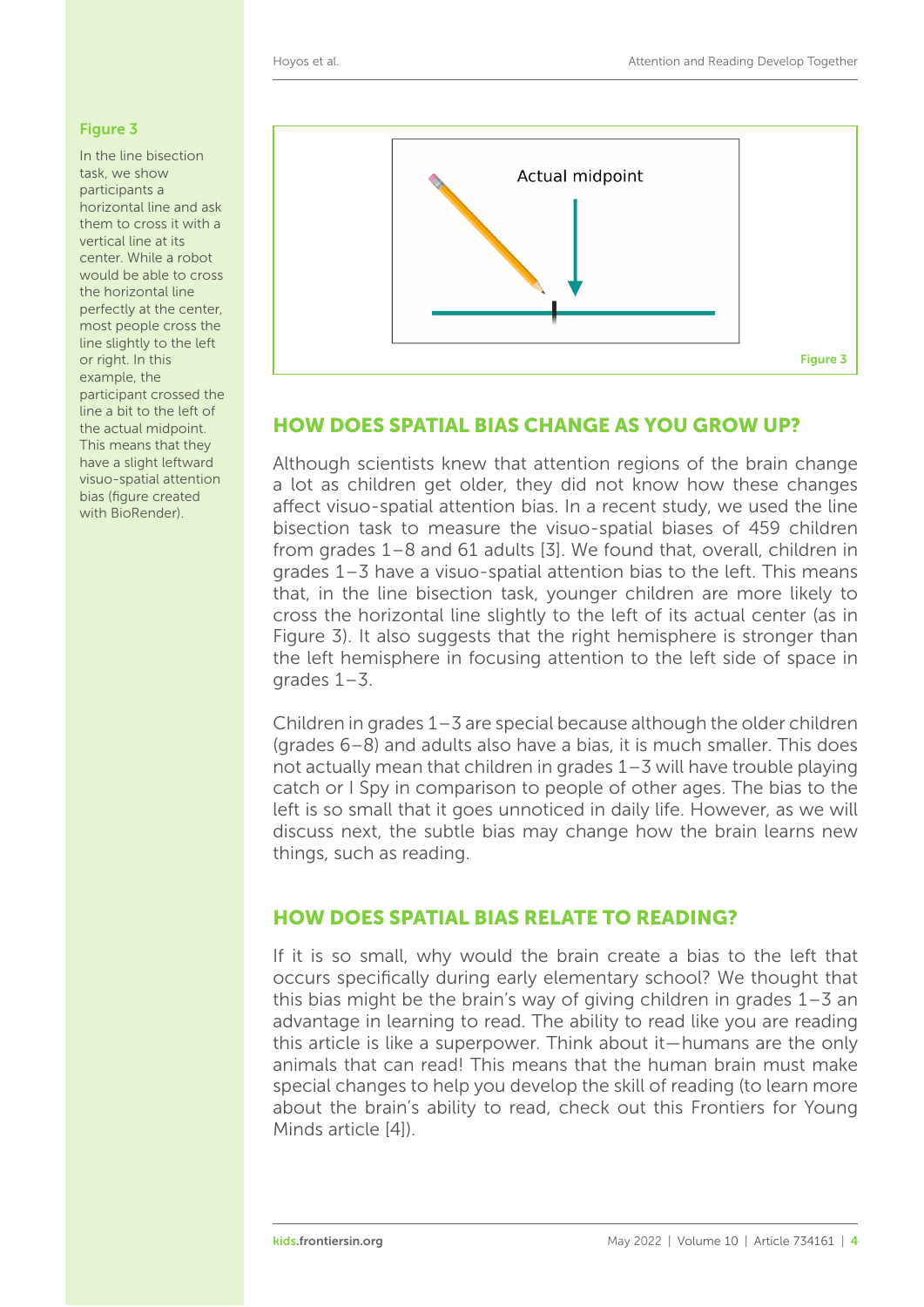### <span id="page-3-0"></span>Figure 3

In the line bisection task, we show participants a horizontal line and ask them to cross it with a vertical line at its center. While a robot would be able to cross the horizontal line perfectly at the center, most people cross the line slightly to the left or right. In this example, the participant crossed the line a bit to the left of the actual midpoint. This means that they have a slight leftward visuo-spatial attention bias (figure created with BioRender).



# HOW DOES SPATIAL BIAS CHANGE AS YOU GROW UP?

Although scientists knew that attention regions of the brain change a lot as children get older, they did not know how these changes affect visuo-spatial attention bias. In a recent study, we used the line bisection task to measure the visuo-spatial biases of 459 children from grades 1–8 and 61 adults [\[3\]](#page-5-2). We found that, overall, children in grades 1–3 have a visuo-spatial attention bias to the left. This means that, in the line bisection task, younger children are more likely to cross the horizontal line slightly to the left of its actual center (as in [Figure 3\)](#page-3-0). It also suggests that the right hemisphere is stronger than the left hemisphere in focusing attention to the left side of space in arades  $1-3$ .

Children in grades 1–3 are special because although the older children (grades 6–8) and adults also have a bias, it is much smaller. This does not actually mean that children in grades 1–3 will have trouble playing catch or I Spy in comparison to people of other ages. The bias to the left is so small that it goes unnoticed in daily life. However, as we will discuss next, the subtle bias may change how the brain learns new things, such as reading.

# HOW DOES SPATIAL BIAS RELATE TO READING?

If it is so small, why would the brain create a bias to the left that occurs specifically during early elementary school? We thought that this bias might be the brain's way of giving children in grades 1–3 an advantage in learning to read. The ability to read like you are reading this article is like a superpower. Think about it—humans are the only animals that can read! This means that the human brain must make special changes to help you develop the skill of reading (to learn more about the brain's ability to read, check out this Frontiers for Young Minds article [\[4\]](#page-5-3)).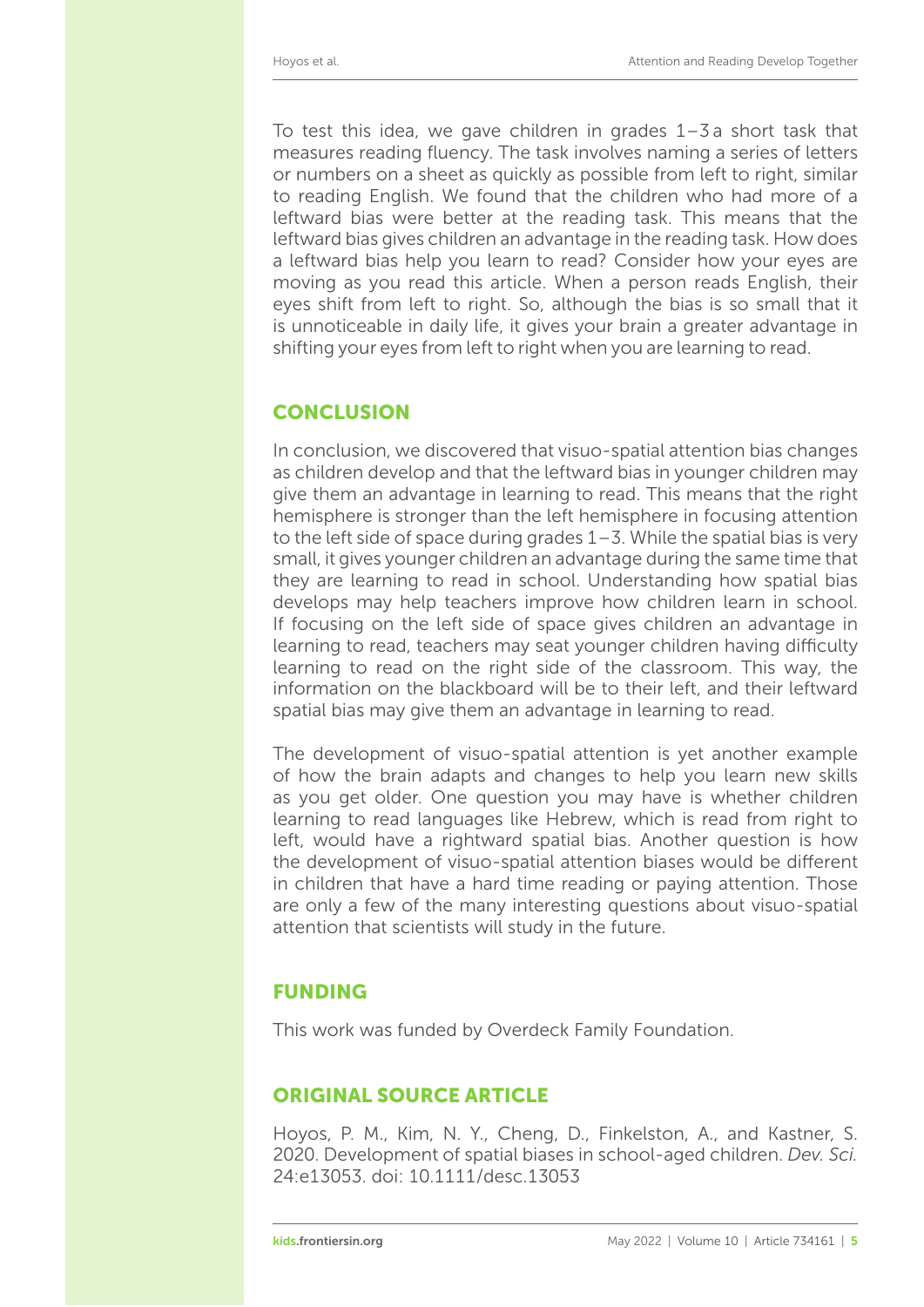To test this idea, we gave children in grades  $1-\overline{3}$  a short task that measures reading fluency. The task involves naming a series of letters or numbers on a sheet as quickly as possible from left to right, similar to reading English. We found that the children who had more of a leftward bias were better at the reading task. This means that the leftward bias gives children an advantage in the reading task. How does a leftward bias help you learn to read? Consider how your eyes are moving as you read this article. When a person reads English, their eyes shift from left to right. So, although the bias is so small that it is unnoticeable in daily life, it gives your brain a greater advantage in shifting your eyes from left to right when you are learning to read.

# **CONCLUSION**

In conclusion, we discovered that visuo-spatial attention bias changes as children develop and that the leftward bias in younger children may give them an advantage in learning to read. This means that the right hemisphere is stronger than the left hemisphere in focusing attention to the left side of space during grades 1–3. While the spatial bias is very small, it gives younger children an advantage during the same time that they are learning to read in school. Understanding how spatial bias develops may help teachers improve how children learn in school. If focusing on the left side of space gives children an advantage in learning to read, teachers may seat younger children having difficulty learning to read on the right side of the classroom. This way, the information on the blackboard will be to their left, and their leftward spatial bias may give them an advantage in learning to read.

The development of visuo-spatial attention is yet another example of how the brain adapts and changes to help you learn new skills as you get older. One question you may have is whether children learning to read languages like Hebrew, which is read from right to left, would have a rightward spatial bias. Another question is how the development of visuo-spatial attention biases would be different in children that have a hard time reading or paying attention. Those are only a few of the many interesting questions about visuo-spatial attention that scientists will study in the future.

# FUNDING

This work was funded by Overdeck Family Foundation.

# ORIGINAL SOURCE ARTICLE

Hoyos, P. M., Kim, N. Y., Cheng, D., Finkelston, A., and Kastner, S. 2020. Development of spatial biases in school-aged children. *Dev. Sci.* 24:e13053. doi: [10.1111/desc.13053](https://doi.org/10.1111/desc.13053)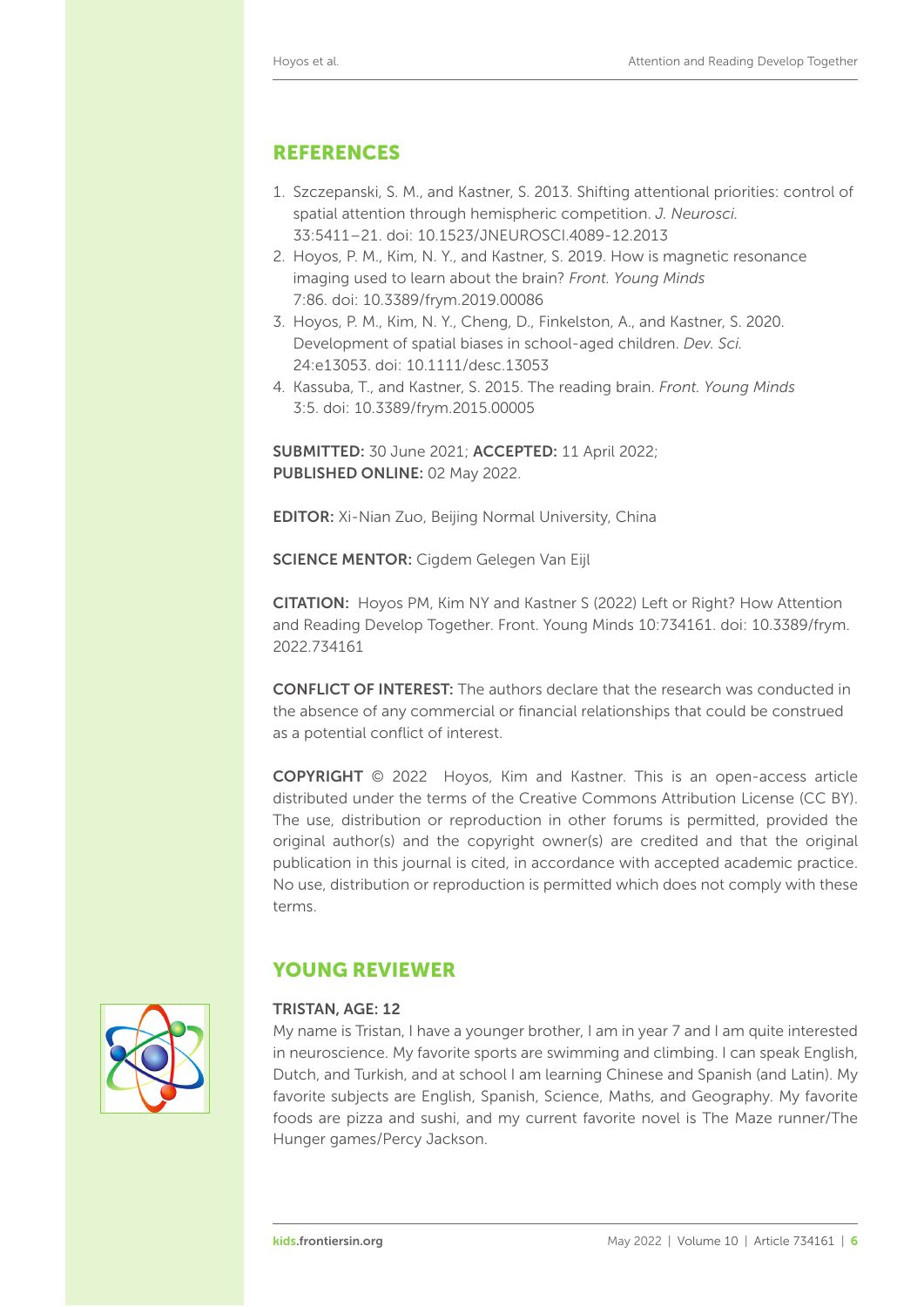# REFERENCES

- <span id="page-5-0"></span>1. Szczepanski, S. M., and Kastner, S. 2013. Shifting attentional priorities: control of spatial attention through hemispheric competition. *J. Neurosci.* 33:5411–21. doi: [10.1523/JNEUROSCI.4089-12.2013](https://doi.org/10.1523/JNEUROSCI.4089-12.2013)
- <span id="page-5-1"></span>2. [Hoyos, P. M., Kim, N. Y., and Kastner, S. 2019. How is magnetic](https://kids.frontiersin.org/articles/10.3389/frym.2019.00086) resonance imaging used to learn about the brain? *Front. Young Minds* 7:86. doi: [10.3389/frym.2019.00086](https://doi.org/10.3389/frym.2019.00086)
- <span id="page-5-2"></span>3. Hoyos, P. M., Kim, N. Y., Cheng, D., Finkelston, A., and Kastner, S. 2020. Development of spatial biases in school-aged children. *Dev. Sci.* 24:e13053. doi: [10.1111/desc.13053](https://doi.org/10.1111/desc.13053)
- <span id="page-5-3"></span>4. Kassuba, T., and Kastner, S. 2015. [The reading brain.](https://kids.frontiersin.org/articles/10.3389/frym.2015.00005) *Front. Young Minds* 3:5. doi: [10.3389/frym.2015.00005](https://doi.org/10.3389/frym.2015.00005)

SUBMITTED: 30 June 2021; ACCEPTED: 11 April 2022; PUBLISHED ONLINE: 02 May 2022.

EDITOR: [Xi-Nian Zuo,](https://loop.frontiersin.org/people/8921) Beijing Normal University, China

SCIENCE MENTOR: [Cigdem Gelegen Van Eijl](https://loop.frontiersin.org/people/1439802)

CITATION: Hoyos PM, Kim NY and Kastner S (2022) Left or Right? How Attention [and Reading Develop Together. Front. Young Minds 10:734161. doi: 10.3389/frym.](https://doi.org/10.3389/frym.2022.734161) 2022.734161

CONFLICT OF INTEREST: The authors declare that the research was conducted in the absence of any commercial or financial relationships that could be construed as a potential conflict of interest.

COPYRIGHT © 2022 Hoyos, Kim and Kastner. This is an open-access article distributed under the terms of the [Creative Commons Attribution License \(CC BY\).](https://creativecommons.org/licenses/by/4.0/) The use, distribution or reproduction in other forums is permitted, provided the original author(s) and the copyright owner(s) are credited and that the original publication in this journal is cited, in accordance with accepted academic practice. No use, distribution or reproduction is permitted which does not comply with these terms.



# YOUNG REVIEWER

#### TRISTAN, AGE: 12

My name is Tristan, I have a younger brother, I am in year 7 and I am quite interested in neuroscience. My favorite sports are swimming and climbing. I can speak English, Dutch, and Turkish, and at school I am learning Chinese and Spanish (and Latin). My favorite subjects are English, Spanish, Science, Maths, and Geography. My favorite foods are pizza and sushi, and my current favorite novel is The Maze runner/The Hunger games/Percy Jackson.